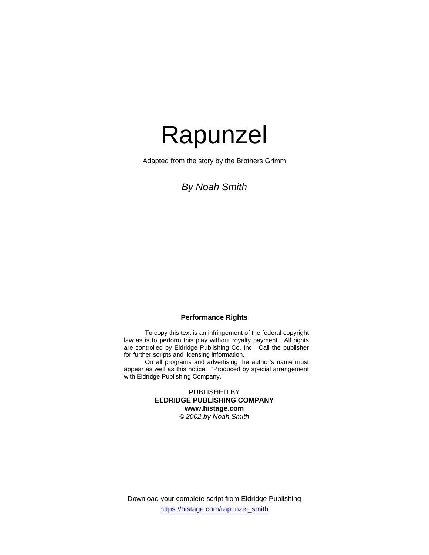Adapted from the story by the Brothers Grimm

# *By Noah Smith*

## **Performance Rights**

 To copy this text is an infringement of the federal copyright law as is to perform this play without royalty payment. All rights are controlled by Eldridge Publishing Co. Inc. Call the publisher for further scripts and licensing information.

 On all programs and advertising the author's name must appear as well as this notice: "Produced by special arrangement with Eldridge Publishing Company."

> PUBLISHED BY **ELDRIDGE PUBLISHING COMPANY www.histage.com**  *© 2002 by Noah Smith*

Download your complete script from Eldridge Publishing https://histage.com/rapunzel\_smith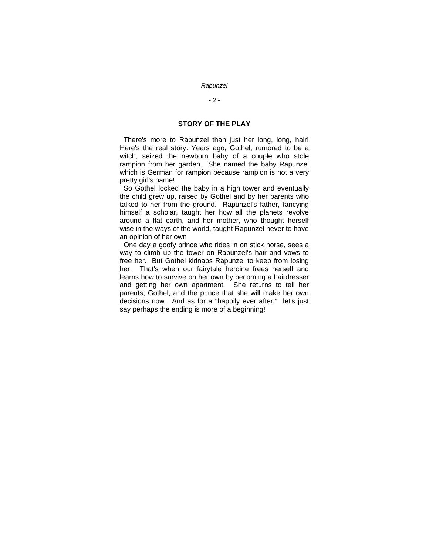# *- 2 -*

#### **STORY OF THE PLAY**

 There's more to Rapunzel than just her long, long, hair! Here's the real story. Years ago, Gothel, rumored to be a witch, seized the newborn baby of a couple who stole rampion from her garden. She named the baby Rapunzel which is German for rampion because rampion is not a very pretty girl's name!

 So Gothel locked the baby in a high tower and eventually the child grew up, raised by Gothel and by her parents who talked to her from the ground. Rapunzel's father, fancying himself a scholar, taught her how all the planets revolve around a flat earth, and her mother, who thought herself wise in the ways of the world, taught Rapunzel never to have an opinion of her own

 One day a goofy prince who rides in on stick horse, sees a way to climb up the tower on Rapunzel's hair and vows to free her. But Gothel kidnaps Rapunzel to keep from losing her. That's when our fairytale heroine frees herself and learns how to survive on her own by becoming a hairdresser and getting her own apartment. She returns to tell her parents, Gothel, and the prince that she will make her own decisions now. And as for a "happily ever after," let's just say perhaps the ending is more of a beginning!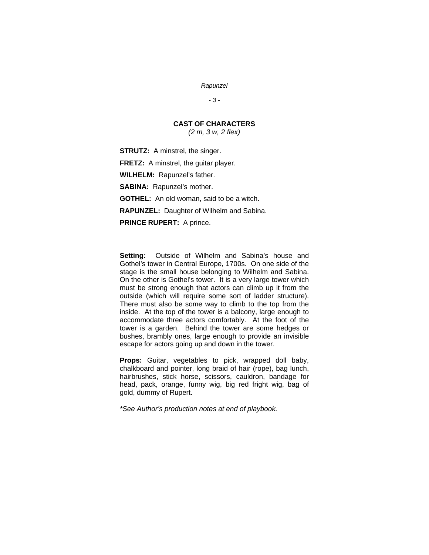*- 3 -* 

# **CAST OF CHARACTERS**

*(2 m, 3 w, 2 flex)* 

**STRUTZ:** A minstrel, the singer.

**FRETZ:** A minstrel, the guitar player.

**WILHELM:** Rapunzel's father.

**SABINA:** Rapunzel's mother.

**GOTHEL:** An old woman, said to be a witch.

**RAPUNZEL:** Daughter of Wilhelm and Sabina.

**PRINCE RUPERT:** A prince.

**Setting:** Outside of Wilhelm and Sabina's house and Gothel's tower in Central Europe, 1700s. On one side of the stage is the small house belonging to Wilhelm and Sabina. On the other is Gothel's tower. It is a very large tower which must be strong enough that actors can climb up it from the outside (which will require some sort of ladder structure). There must also be some way to climb to the top from the inside. At the top of the tower is a balcony, large enough to accommodate three actors comfortably. At the foot of the tower is a garden. Behind the tower are some hedges or bushes, brambly ones, large enough to provide an invisible escape for actors going up and down in the tower.

**Props:** Guitar, vegetables to pick, wrapped doll baby, chalkboard and pointer, long braid of hair (rope), bag lunch, hairbrushes, stick horse, scissors, cauldron, bandage for head, pack, orange, funny wig, big red fright wig, bag of gold, dummy of Rupert.

*\*See Author's production notes at end of playbook.*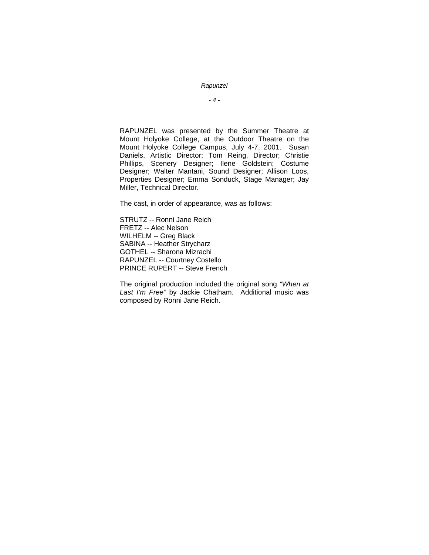*- 4 -* 

RAPUNZEL was presented by the Summer Theatre at Mount Holyoke College, at the Outdoor Theatre on the Mount Holyoke College Campus, July 4-7, 2001. Susan Daniels, Artistic Director; Tom Reing, Director; Christie Phillips, Scenery Designer; Ilene Goldstein; Costume Designer; Walter Mantani, Sound Designer; Allison Loos, Properties Designer; Emma Sonduck, Stage Manager; Jay Miller, Technical Director.

The cast, in order of appearance, was as follows:

STRUTZ -- Ronni Jane Reich FRETZ -- Alec Nelson WILHELM -- Greg Black SABINA -- Heather Strycharz GOTHEL -- Sharona Mizrachi RAPUNZEL -- Courtney Costello PRINCE RUPERT -- Steve French

The original production included the original song *"When at Last I'm Free"* by Jackie Chatham. Additional music was composed by Ronni Jane Reich.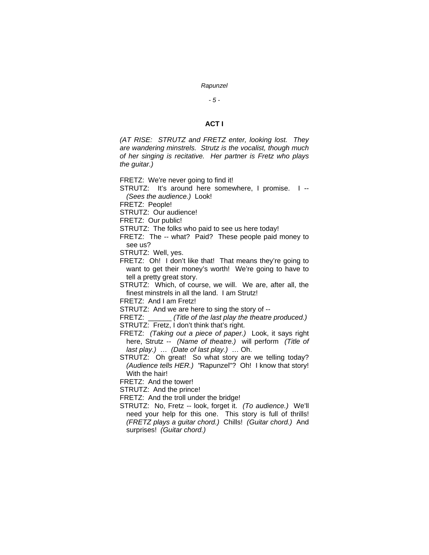*- 5 -* 

## **ACT I**

*(AT RISE: STRUTZ and FRETZ enter, looking lost. They are wandering minstrels. Strutz is the vocalist, though much of her singing is recitative. Her partner is Fretz who plays the guitar.)* 

FRETZ: We're never going to find it!

STRUTZ: It's around here somewhere, I promise. I --*(Sees the audience.)* Look!

FRETZ: People!

STRUTZ: Our audience!

FRETZ: Our public!

STRUTZ: The folks who paid to see us here today!

FRETZ: The -- what? Paid? These people paid money to see us?

STRUTZ: Well, yes.

FRETZ: Oh! I don't like that! That means they're going to want to get their money's worth! We're going to have to tell a pretty great story.

STRUTZ: Which, of course, we will. We are, after all, the finest minstrels in all the land. I am Strutz!

FRETZ: And I am Fretz!

STRUTZ: And we are here to sing the story of --

FRETZ: \_\_\_\_\_\_ *(Title of the last play the theatre produced.)* 

STRUTZ: Fretz, I don't think that's right.

FRETZ: *(Taking out a piece of paper.)* Look, it says right here, Strutz -- *(Name of theatre.)* will perform *(Title of last play.)* … *(Date of last play.)* … Oh.

STRUTZ: Oh great! So what story are we telling today? *(Audience tells HER.) "*Rapunzel"? Oh! I know that story! With the hair!

FRETZ: And the tower!

STRUTZ: And the prince!

FRETZ: And the troll under the bridge!

STRUTZ: No, Fretz -- look, forget it. *(To audience.)* We'll need your help for this one. This story is full of thrills! *(FRETZ plays a guitar chord.)* Chills! *(Guitar chord.)* And surprises! *(Guitar chord.)*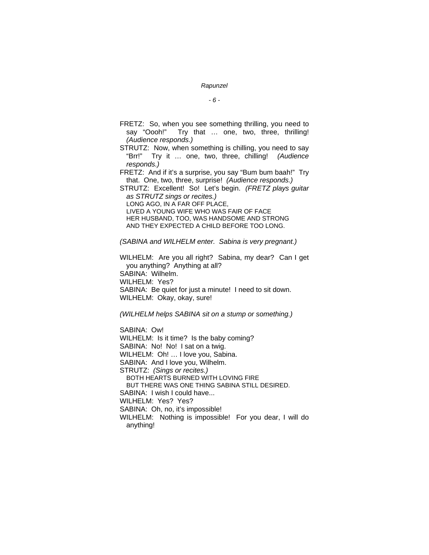*- 6 -* 

- FRETZ: So, when you see something thrilling, you need to say "Oooh!" Try that ... one, two, three, thrilling! *(Audience responds.)*
- STRUTZ: Now, when something is chilling, you need to say "Brr!" Try it … one, two, three, chilling! *(Audience responds.)*
- FRETZ: And if it's a surprise, you say "Bum bum baah!" Try that. One, two, three, surprise! *(Audience responds.)*

STRUTZ: Excellent! So! Let's begin. *(FRETZ plays guitar as STRUTZ sings or recites.)*  LONG AGO, IN A FAR OFF PLACE,

 LIVED A YOUNG WIFE WHO WAS FAIR OF FACE HER HUSBAND, TOO, WAS HANDSOME AND STRONG AND THEY EXPECTED A CHILD BEFORE TOO LONG.

*(SABINA and WILHELM enter. Sabina is very pregnant.)* 

WILHELM: Are you all right? Sabina, my dear? Can I get you anything? Anything at all? SABINA: Wilhelm. WILHELM: Yes? SABINA: Be quiet for just a minute! I need to sit down. WILHELM: Okay, okay, sure!

*(WILHELM helps SABINA sit on a stump or something.)*

SABINA: Ow! WILHELM: Is it time? Is the baby coming? SABINA: No! No! I sat on a twig. WILHELM: Oh! … I love you, Sabina. SABINA: And I love you, Wilhelm. STRUTZ: *(Sings or recites.)* BOTH HEARTS BURNED WITH LOVING FIRE BUT THERE WAS ONE THING SABINA STILL DESIRED. SABINA: I wish I could have... WILHELM: Yes? Yes? SABINA: Oh, no, it's impossible! WILHELM: Nothing is impossible! For you dear, I will do anything!